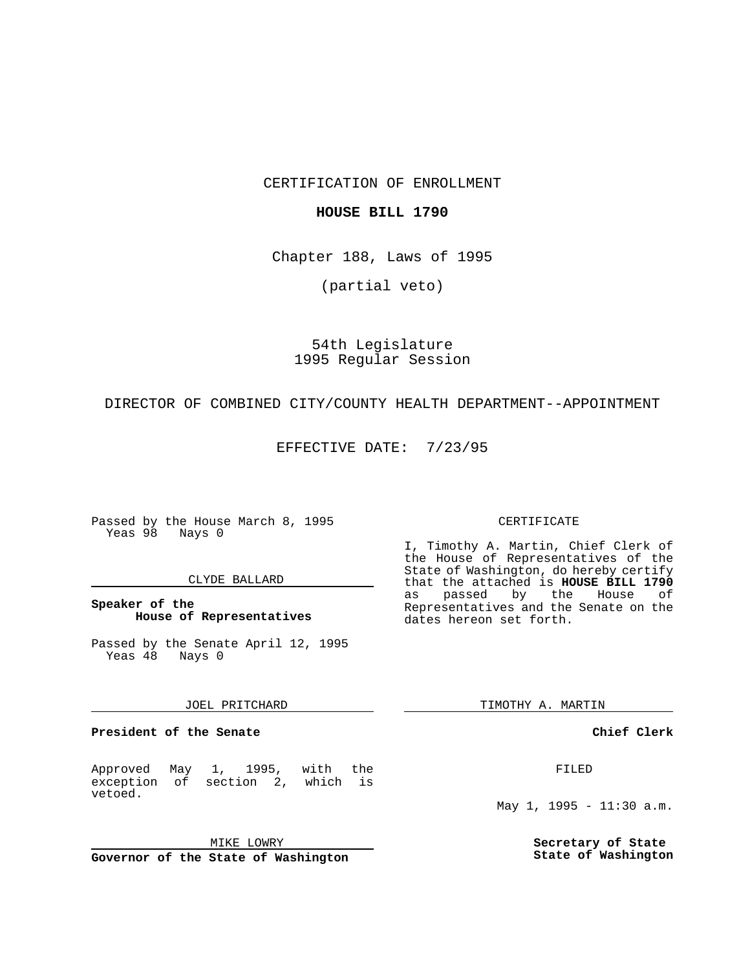CERTIFICATION OF ENROLLMENT

## **HOUSE BILL 1790**

Chapter 188, Laws of 1995

(partial veto)

54th Legislature 1995 Regular Session

DIRECTOR OF COMBINED CITY/COUNTY HEALTH DEPARTMENT--APPOINTMENT

EFFECTIVE DATE: 7/23/95

Passed by the House March 8, 1995 Yeas 98 Nays 0

### CLYDE BALLARD

## **Speaker of the House of Representatives**

Passed by the Senate April 12, 1995 Yeas 48 Nays 0

#### JOEL PRITCHARD

**President of the Senate**

Approved May 1, 1995, with the exception of section 2, which is vetoed.

MIKE LOWRY

**Governor of the State of Washington**

#### CERTIFICATE

I, Timothy A. Martin, Chief Clerk of the House of Representatives of the State of Washington, do hereby certify that the attached is **HOUSE BILL 1790** as passed by the House of Representatives and the Senate on the dates hereon set forth.

TIMOTHY A. MARTIN

### **Chief Clerk**

FILED

May 1, 1995 - 11:30 a.m.

**Secretary of State State of Washington**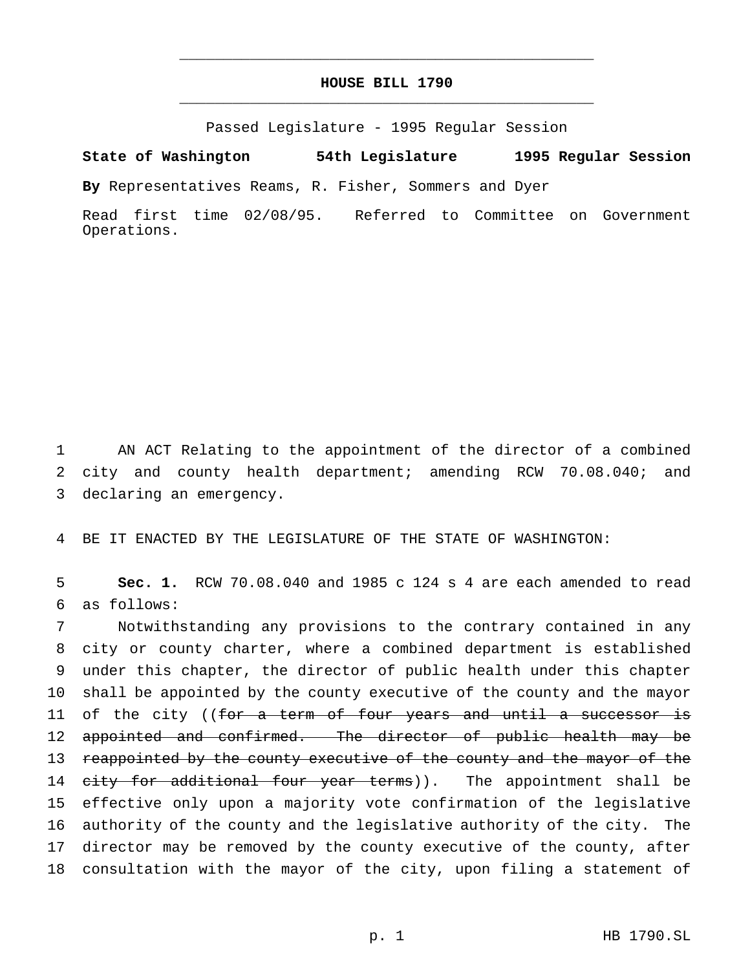# **HOUSE BILL 1790** \_\_\_\_\_\_\_\_\_\_\_\_\_\_\_\_\_\_\_\_\_\_\_\_\_\_\_\_\_\_\_\_\_\_\_\_\_\_\_\_\_\_\_\_\_\_\_

\_\_\_\_\_\_\_\_\_\_\_\_\_\_\_\_\_\_\_\_\_\_\_\_\_\_\_\_\_\_\_\_\_\_\_\_\_\_\_\_\_\_\_\_\_\_\_

Passed Legislature - 1995 Regular Session

**State of Washington 54th Legislature 1995 Regular Session**

**By** Representatives Reams, R. Fisher, Sommers and Dyer

Read first time 02/08/95. Referred to Committee on Government Operations.

1 AN ACT Relating to the appointment of the director of a combined 2 city and county health department; amending RCW 70.08.040; and 3 declaring an emergency.

4 BE IT ENACTED BY THE LEGISLATURE OF THE STATE OF WASHINGTON:

5 **Sec. 1.** RCW 70.08.040 and 1985 c 124 s 4 are each amended to read 6 as follows:

 Notwithstanding any provisions to the contrary contained in any city or county charter, where a combined department is established under this chapter, the director of public health under this chapter shall be appointed by the county executive of the county and the mayor 11 of the city ((for a term of four years and until a successor is 12 appointed and confirmed. The director of public health may be 13 reappointed by the county executive of the county and the mayor of the 14 city for additional four year terms)). The appointment shall be effective only upon a majority vote confirmation of the legislative authority of the county and the legislative authority of the city. The director may be removed by the county executive of the county, after consultation with the mayor of the city, upon filing a statement of